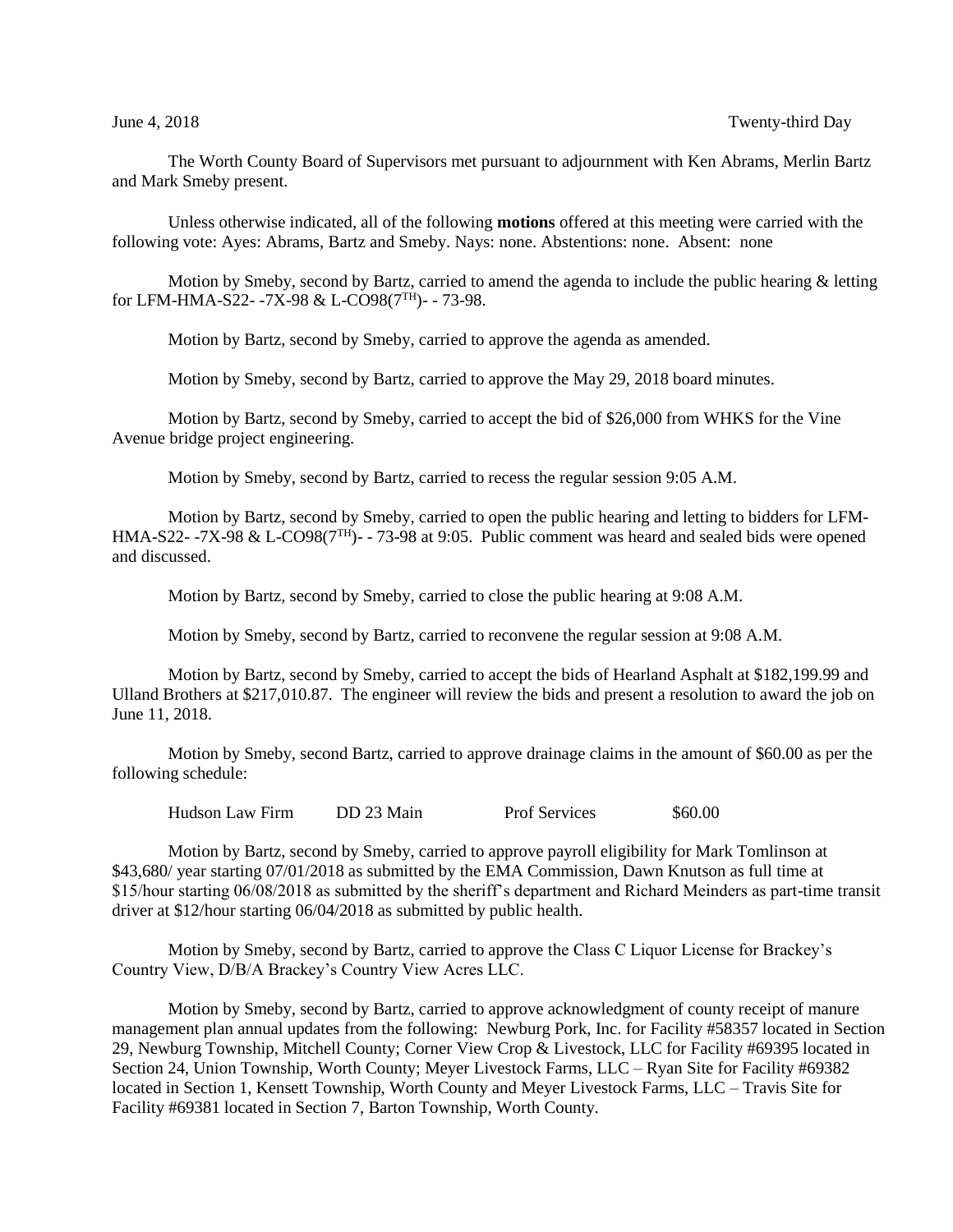The Worth County Board of Supervisors met pursuant to adjournment with Ken Abrams, Merlin Bartz and Mark Smeby present.

Unless otherwise indicated, all of the following **motions** offered at this meeting were carried with the following vote: Ayes: Abrams, Bartz and Smeby. Nays: none. Abstentions: none. Absent: none

Motion by Smeby, second by Bartz, carried to amend the agenda to include the public hearing & letting for LFM-HMA-S22- -7X-98 & L-CO98(7TH)- - 73-98.

Motion by Bartz, second by Smeby, carried to approve the agenda as amended.

Motion by Smeby, second by Bartz, carried to approve the May 29, 2018 board minutes.

Motion by Bartz, second by Smeby, carried to accept the bid of \$26,000 from WHKS for the Vine Avenue bridge project engineering.

Motion by Smeby, second by Bartz, carried to recess the regular session 9:05 A.M.

Motion by Bartz, second by Smeby, carried to open the public hearing and letting to bidders for LFM-HMA-S22- -7X-98 & L-CO98(7TH)- - 73-98 at 9:05. Public comment was heard and sealed bids were opened and discussed.

Motion by Bartz, second by Smeby, carried to close the public hearing at 9:08 A.M.

Motion by Smeby, second by Bartz, carried to reconvene the regular session at 9:08 A.M.

Motion by Bartz, second by Smeby, carried to accept the bids of Hearland Asphalt at \$182,199.99 and Ulland Brothers at \$217,010.87. The engineer will review the bids and present a resolution to award the job on June 11, 2018.

Motion by Smeby, second Bartz, carried to approve drainage claims in the amount of \$60.00 as per the following schedule:

Hudson Law Firm DD 23 Main Prof Services \$60.00

Motion by Bartz, second by Smeby, carried to approve payroll eligibility for Mark Tomlinson at \$43,680/ year starting 07/01/2018 as submitted by the EMA Commission, Dawn Knutson as full time at \$15/hour starting 06/08/2018 as submitted by the sheriff's department and Richard Meinders as part-time transit driver at \$12/hour starting 06/04/2018 as submitted by public health.

Motion by Smeby, second by Bartz, carried to approve the Class C Liquor License for Brackey's Country View, D/B/A Brackey's Country View Acres LLC.

Motion by Smeby, second by Bartz, carried to approve acknowledgment of county receipt of manure management plan annual updates from the following: Newburg Pork, Inc. for Facility #58357 located in Section 29, Newburg Township, Mitchell County; Corner View Crop & Livestock, LLC for Facility #69395 located in Section 24, Union Township, Worth County; Meyer Livestock Farms, LLC – Ryan Site for Facility #69382 located in Section 1, Kensett Township, Worth County and Meyer Livestock Farms, LLC – Travis Site for Facility #69381 located in Section 7, Barton Township, Worth County.